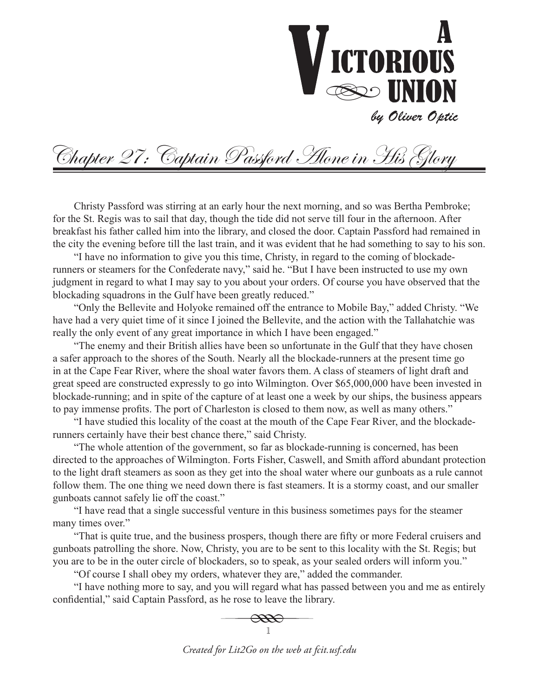

Chapter 27: Captain Passford Alone in His Glory

Christy Passford was stirring at an early hour the next morning, and so was Bertha Pembroke; for the St. Regis was to sail that day, though the tide did not serve till four in the afternoon. After breakfast his father called him into the library, and closed the door. Captain Passford had remained in the city the evening before till the last train, and it was evident that he had something to say to his son.

"I have no information to give you this time, Christy, in regard to the coming of blockaderunners or steamers for the Confederate navy," said he. "But I have been instructed to use my own judgment in regard to what I may say to you about your orders. Of course you have observed that the blockading squadrons in the Gulf have been greatly reduced."

"Only the Bellevite and Holyoke remained off the entrance to Mobile Bay," added Christy. "We have had a very quiet time of it since I joined the Bellevite, and the action with the Tallahatchie was really the only event of any great importance in which I have been engaged."

"The enemy and their British allies have been so unfortunate in the Gulf that they have chosen a safer approach to the shores of the South. Nearly all the blockade-runners at the present time go in at the Cape Fear River, where the shoal water favors them. A class of steamers of light draft and great speed are constructed expressly to go into Wilmington. Over \$65,000,000 have been invested in blockade-running; and in spite of the capture of at least one a week by our ships, the business appears to pay immense profits. The port of Charleston is closed to them now, as well as many others."

"I have studied this locality of the coast at the mouth of the Cape Fear River, and the blockaderunners certainly have their best chance there," said Christy.

"The whole attention of the government, so far as blockade-running is concerned, has been directed to the approaches of Wilmington. Forts Fisher, Caswell, and Smith afford abundant protection to the light draft steamers as soon as they get into the shoal water where our gunboats as a rule cannot follow them. The one thing we need down there is fast steamers. It is a stormy coast, and our smaller gunboats cannot safely lie off the coast."

"I have read that a single successful venture in this business sometimes pays for the steamer many times over."

"That is quite true, and the business prospers, though there are fifty or more Federal cruisers and gunboats patrolling the shore. Now, Christy, you are to be sent to this locality with the St. Regis; but you are to be in the outer circle of blockaders, so to speak, as your sealed orders will inform you."

"Of course I shall obey my orders, whatever they are," added the commander.

"I have nothing more to say, and you will regard what has passed between you and me as entirely confidential," said Captain Passford, as he rose to leave the library.



*Created for Lit2Go on the web at fcit.usf.edu*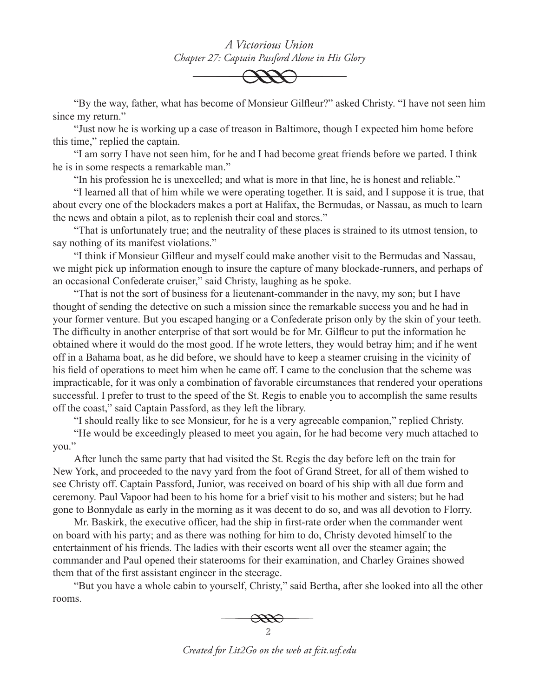*A Victorious Union Chapter 27: Captain Passford Alone in His Glory*



"By the way, father, what has become of Monsieur Gilfleur?" asked Christy. "I have not seen him since my return."

"Just now he is working up a case of treason in Baltimore, though I expected him home before this time," replied the captain.

"I am sorry I have not seen him, for he and I had become great friends before we parted. I think he is in some respects a remarkable man."

"In his profession he is unexcelled; and what is more in that line, he is honest and reliable."

"I learned all that of him while we were operating together. It is said, and I suppose it is true, that about every one of the blockaders makes a port at Halifax, the Bermudas, or Nassau, as much to learn the news and obtain a pilot, as to replenish their coal and stores."

"That is unfortunately true; and the neutrality of these places is strained to its utmost tension, to say nothing of its manifest violations."

"I think if Monsieur Gilfleur and myself could make another visit to the Bermudas and Nassau, we might pick up information enough to insure the capture of many blockade-runners, and perhaps of an occasional Confederate cruiser," said Christy, laughing as he spoke.

"That is not the sort of business for a lieutenant-commander in the navy, my son; but I have thought of sending the detective on such a mission since the remarkable success you and he had in your former venture. But you escaped hanging or a Confederate prison only by the skin of your teeth. The difficulty in another enterprise of that sort would be for Mr. Gilfleur to put the information he obtained where it would do the most good. If he wrote letters, they would betray him; and if he went off in a Bahama boat, as he did before, we should have to keep a steamer cruising in the vicinity of his field of operations to meet him when he came off. I came to the conclusion that the scheme was impracticable, for it was only a combination of favorable circumstances that rendered your operations successful. I prefer to trust to the speed of the St. Regis to enable you to accomplish the same results off the coast," said Captain Passford, as they left the library.

"I should really like to see Monsieur, for he is a very agreeable companion," replied Christy.

"He would be exceedingly pleased to meet you again, for he had become very much attached to you."

After lunch the same party that had visited the St. Regis the day before left on the train for New York, and proceeded to the navy yard from the foot of Grand Street, for all of them wished to see Christy off. Captain Passford, Junior, was received on board of his ship with all due form and ceremony. Paul Vapoor had been to his home for a brief visit to his mother and sisters; but he had gone to Bonnydale as early in the morning as it was decent to do so, and was all devotion to Florry.

Mr. Baskirk, the executive officer, had the ship in first-rate order when the commander went on board with his party; and as there was nothing for him to do, Christy devoted himself to the entertainment of his friends. The ladies with their escorts went all over the steamer again; the commander and Paul opened their staterooms for their examination, and Charley Graines showed them that of the first assistant engineer in the steerage.

"But you have a whole cabin to yourself, Christy," said Bertha, after she looked into all the other rooms.



*Created for Lit2Go on the web at fcit.usf.edu*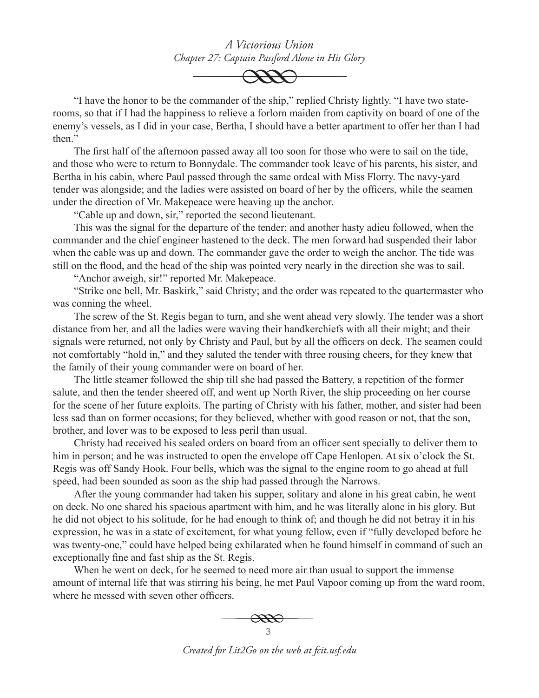*A Victorious Union Chapter 27: Captain Passford Alone in His Glory*



"I have the honor to be the commander of the ship," replied Christy lightly. "I have two staterooms, so that if I had the happiness to relieve a forlorn maiden from captivity on board of one of the enemy's vessels, as I did in your case, Bertha, I should have a better apartment to offer her than I had then"

The first half of the afternoon passed away all too soon for those who were to sail on the tide, and those who were to return to Bonnydale. The commander took leave of his parents, his sister, and Bertha in his cabin, where Paul passed through the same ordeal with Miss Florry. The navy-yard tender was alongside; and the ladies were assisted on board of her by the officers, while the seamen under the direction of Mr. Makepeace were heaving up the anchor.

"Cable up and down, sir," reported the second lieutenant.

This was the signal for the departure of the tender; and another hasty adieu followed, when the commander and the chief engineer hastened to the deck. The men forward had suspended their labor when the cable was up and down. The commander gave the order to weigh the anchor. The tide was still on the flood, and the head of the ship was pointed very nearly in the direction she was to sail.

"Anchor aweigh, sir!" reported Mr. Makepeace.

"Strike one bell, Mr. Baskirk," said Christy; and the order was repeated to the quartermaster who was conning the wheel.

The screw of the St. Regis began to turn, and she went ahead very slowly. The tender was a short distance from her, and all the ladies were waving their handkerchiefs with all their might; and their signals were returned, not only by Christy and Paul, but by all the officers on deck. The seamen could not comfortably "hold in," and they saluted the tender with three rousing cheers, for they knew that the family of their young commander were on board of her.

The little steamer followed the ship till she had passed the Battery, a repetition of the former salute, and then the tender sheered off, and went up North River, the ship proceeding on her course for the scene of her future exploits. The parting of Christy with his father, mother, and sister had been less sad than on former occasions; for they believed, whether with good reason or not, that the son, brother, and lover was to be exposed to less peril than usual.

Christy had received his sealed orders on board from an officer sent specially to deliver them to him in person; and he was instructed to open the envelope off Cape Henlopen. At six o'clock the St. Regis was off Sandy Hook. Four bells, which was the signal to the engine room to go ahead at full speed, had been sounded as soon as the ship had passed through the Narrows.

After the young commander had taken his supper, solitary and alone in his great cabin, he went on deck. No one shared his spacious apartment with him, and he was literally alone in his glory. But he did not object to his solitude, for he had enough to think of; and though he did not betray it in his expression, he was in a state of excitement, for what young fellow, even if "fully developed before he was twenty-one," could have helped being exhilarated when he found himself in command of such an exceptionally fine and fast ship as the St. Regis.

When he went on deck, for he seemed to need more air than usual to support the immense amount of internal life that was stirring his being, he met Paul Vapoor coming up from the ward room, where he messed with seven other officers.



*Created for Lit2Go on the web at fcit.usf.edu*